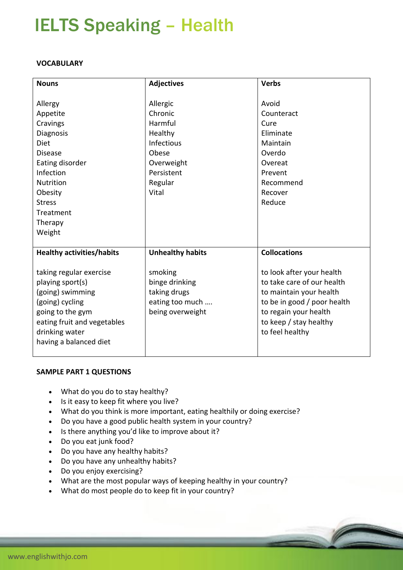# IELTS Speaking – Health

## **VOCABULARY**

| <b>Nouns</b>                     | <b>Adjectives</b>       | <b>Verbs</b>                |
|----------------------------------|-------------------------|-----------------------------|
|                                  |                         |                             |
| Allergy                          | Allergic                | Avoid                       |
| Appetite                         | Chronic                 | Counteract                  |
| Cravings                         | Harmful                 | Cure                        |
| Diagnosis                        | Healthy                 | Eliminate                   |
| <b>Diet</b>                      | <b>Infectious</b>       | Maintain                    |
| <b>Disease</b>                   | Obese                   | Overdo                      |
| Eating disorder                  | Overweight              | Overeat                     |
| Infection                        | Persistent              | Prevent                     |
| Nutrition                        | Regular                 | Recommend                   |
| Obesity                          | Vital                   | Recover                     |
| <b>Stress</b>                    |                         | Reduce                      |
| Treatment                        |                         |                             |
| Therapy                          |                         |                             |
| Weight                           |                         |                             |
|                                  |                         |                             |
| <b>Healthy activities/habits</b> | <b>Unhealthy habits</b> | <b>Collocations</b>         |
|                                  |                         |                             |
| taking regular exercise          | smoking                 | to look after your health   |
| playing sport(s)                 | binge drinking          | to take care of our health  |
| (going) swimming                 | taking drugs            | to maintain your health     |
| (going) cycling                  | eating too much         | to be in good / poor health |
| going to the gym                 | being overweight        | to regain your health       |
| eating fruit and vegetables      |                         | to keep / stay healthy      |
| drinking water                   |                         | to feel healthy             |
| having a balanced diet           |                         |                             |
|                                  |                         |                             |

#### **SAMPLE PART 1 QUESTIONS**

- What do you do to stay healthy?
- Is it easy to keep fit where you live?
- What do you think is more important, eating healthily or doing exercise?
- Do you have a good public health system in your country?
- Is there anything you'd like to improve about it?
- Do you eat junk food?
- Do you have any healthy habits?
- Do you have any unhealthy habits?
- Do you enjoy exercising?
- What are the most popular ways of keeping healthy in your country?
- What do most people do to keep fit in your country?